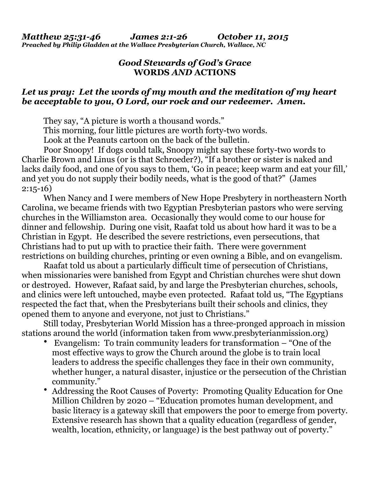## *Good Stewards of God's Grace* **WORDS** *AND* **ACTIONS**

## *Let us pray: Let the words of my mouth and the meditation of my heart be acceptable to you, O Lord, our rock and our redeemer. Amen.*

They say, "A picture is worth a thousand words."

This morning, four little pictures are worth forty-two words.

Look at the Peanuts cartoon on the back of the bulletin.

 Poor Snoopy! If dogs could talk, Snoopy might say these forty-two words to Charlie Brown and Linus (or is that Schroeder?), "If a brother or sister is naked and lacks daily food, and one of you says to them, 'Go in peace; keep warm and eat your fill,' and yet you do not supply their bodily needs, what is the good of that?" (James 2:15-16)

 When Nancy and I were members of New Hope Presbytery in northeastern North Carolina, we became friends with two Egyptian Presbyterian pastors who were serving churches in the Williamston area. Occasionally they would come to our house for dinner and fellowship. During one visit, Raafat told us about how hard it was to be a Christian in Egypt. He described the severe restrictions, even persecutions, that Christians had to put up with to practice their faith. There were government restrictions on building churches, printing or even owning a Bible, and on evangelism.

 Raafat told us about a particularly difficult time of persecution of Christians, when missionaries were banished from Egypt and Christian churches were shut down or destroyed. However, Rafaat said, by and large the Presbyterian churches, schools, and clinics were left untouched, maybe even protected. Rafaat told us, "The Egyptians respected the fact that, when the Presbyterians built their schools and clinics, they opened them to anyone and everyone, not just to Christians."

 Still today, Presbyterian World Mission has a three-pronged approach in mission stations around the world (information taken from [www.presbyterianmission.org](http://www.presbyterianmission.org))

- Evangelism: To train community leaders for transformation "One of the most effective ways to grow the Church around the globe is to train local leaders to address the specific challenges they face in their own community, whether hunger, a natural disaster, injustice or the persecution of the Christian community."
- Addressing the Root Causes of Poverty: Promoting Quality Education for One Million Children by 2020 – "Education promotes human development, and basic literacy is a gateway skill that empowers the poor to emerge from poverty. Extensive research has shown that a quality education (regardless of gender, wealth, location, ethnicity, or language) is the best pathway out of poverty."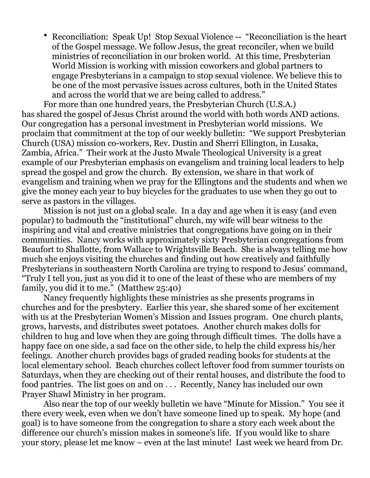• Reconciliation: Speak Up! Stop Sexual Violence -- "Reconciliation is the heart of the Gospel message. We follow Jesus, the great reconciler, when we build ministries of reconciliation in our broken world. At this time, Presbyterian World Mission is working with mission coworkers and global partners to engage Presbyterians in a campaign to stop sexual violence. We believe this to be one of the most pervasive issues across cultures, both in the United States and across the world that we are being called to address."

For more than one hundred years, the Presbyterian Church (U.S.A.) has shared the gospel of Jesus Christ around the world with both words AND actions. Our congregation has a personal investment in Presbyterian world missions. We proclaim that commitment at the top of our weekly bulletin: "We support Presbyterian Church (USA) mission co-workers, Rev. Dustin and Sherri Ellington, in Lusaka, Zambia, Africa." Their work at the Justo Mwale Theological University is a great example of our Presbyterian emphasis on evangelism and training local leaders to help spread the gospel and grow the church. By extension, we share in that work of evangelism and training when we pray for the Ellingtons and the students and when we give the money each year to buy bicycles for the graduates to use when they go out to serve as pastors in the villages.

 Mission is not just on a global scale. In a day and age when it is easy (and even popular) to badmouth the "institutional" church, my wife will bear witness to the inspiring and vital and creative ministries that congregations have going on in their communities. Nancy works with approximately sixty Presbyterian congregations from Beaufort to Shallotte, from Wallace to Wrightsville Beach. She is always telling me how much she enjoys visiting the churches and finding out how creatively and faithfully Presbyterians in southeastern North Carolina are trying to respond to Jesus' command, "Truly I tell you, just as you did it to one of the least of these who are members of my family, you did it to me." (Matthew 25:40)

 Nancy frequently highlights these ministries as she presents programs in churches and for the presbytery. Earlier this year, she shared some of her excitement with us at the Presbyterian Women's Mission and Issues program. One church plants, grows, harvests, and distributes sweet potatoes. Another church makes dolls for children to hug and love when they are going through difficult times. The dolls have a happy face on one side, a sad face on the other side, to help the child express his/her feelings. Another church provides bags of graded reading books for students at the local elementary school. Beach churches collect leftover food from summer tourists on Saturdays, when they are checking out of their rental houses, and distribute the food to food pantries. The list goes on and on . . . Recently, Nancy has included our own Prayer Shawl Ministry in her program.

 Also near the top of our weekly bulletin we have "Minute for Mission." You see it there every week, even when we don't have someone lined up to speak. My hope (and goal) is to have someone from the congregation to share a story each week about the difference our church's mission makes in someone's life. If you would like to share your story, please let me know – even at the last minute! Last week we heard from Dr.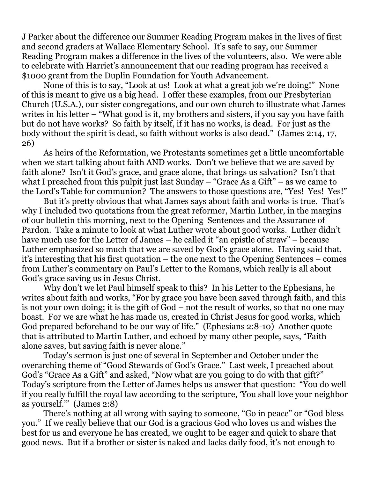J Parker about the difference our Summer Reading Program makes in the lives of first and second graders at Wallace Elementary School. It's safe to say, our Summer Reading Program makes a difference in the lives of the volunteers, also. We were able to celebrate with Harriet's announcement that our reading program has received a \$1000 grant from the Duplin Foundation for Youth Advancement.

 None of this is to say, "Look at us! Look at what a great job we're doing!" None of this is meant to give us a big head. I offer these examples, from our Presbyterian Church (U.S.A.), our sister congregations, and our own church to illustrate what James writes in his letter – "What good is it, my brothers and sisters, if you say you have faith but do not have works? So faith by itself, if it has no works, is dead. For just as the body without the spirit is dead, so faith without works is also dead." (James 2:14, 17, 26)

 As heirs of the Reformation, we Protestants sometimes get a little uncomfortable when we start talking about faith AND works. Don't we believe that we are saved by faith alone? Isn't it God's grace, and grace alone, that brings us salvation? Isn't that what I preached from this pulpit just last Sunday – "Grace As a Gift" – as we came to the Lord's Table for communion? The answers to those questions are, "Yes! Yes! Yes!"

 But it's pretty obvious that what James says about faith and works is true. That's why I included two quotations from the great reformer, Martin Luther, in the margins of our bulletin this morning, next to the Opening Sentences and the Assurance of Pardon. Take a minute to look at what Luther wrote about good works. Luther didn't have much use for the Letter of James – he called it "an epistle of straw" – because Luther emphasized so much that we are saved by God's grace alone. Having said that, it's interesting that his first quotation – the one next to the Opening Sentences – comes from Luther's commentary on Paul's Letter to the Romans, which really is all about God's grace saving us in Jesus Christ.

 Why don't we let Paul himself speak to this? In his Letter to the Ephesians, he writes about faith and works, "For by grace you have been saved through faith, and this is not your own doing; it is the gift of God – not the result of works, so that no one may boast. For we are what he has made us, created in Christ Jesus for good works, which God prepared beforehand to be our way of life." (Ephesians 2:8-10) Another quote that is attributed to Martin Luther, and echoed by many other people, says, "Faith alone saves, but saving faith is never alone."

 Today's sermon is just one of several in September and October under the overarching theme of "Good Stewards of God's Grace." Last week, I preached about God's "Grace As a Gift" and asked, "Now what are you going to do with that gift?" Today's scripture from the Letter of James helps us answer that question: "You do well if you really fulfill the royal law according to the scripture, 'You shall love your neighbor as yourself.'" (James 2:8)

 There's nothing at all wrong with saying to someone, "Go in peace" or "God bless you." If we really believe that our God is a gracious God who loves us and wishes the best for us and everyone he has created, we ought to be eager and quick to share that good news. But if a brother or sister is naked and lacks daily food, it's not enough to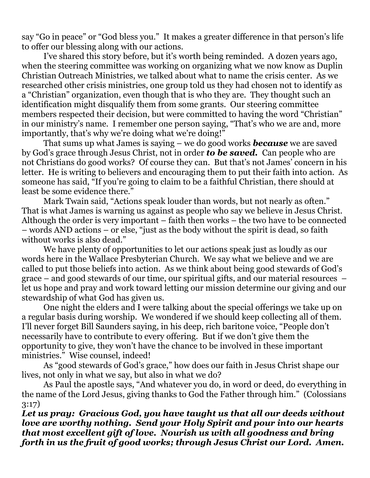say "Go in peace" or "God bless you." It makes a greater difference in that person's life to offer our blessing along with our actions.

 I've shared this story before, but it's worth being reminded. A dozen years ago, when the steering committee was working on organizing what we now know as Duplin Christian Outreach Ministries, we talked about what to name the crisis center. As we researched other crisis ministries, one group told us they had chosen not to identify as a "Christian" organization, even though that is who they are. They thought such an identification might disqualify them from some grants. Our steering committee members respected their decision, but were committed to having the word "Christian" in our ministry's name. I remember one person saying, "That's who we are and, more importantly, that's why we're doing what we're doing!"

 That sums up what James is saying – we do good works *because* we are saved by God's grace through Jesus Christ, not in order *to be saved.* Can people who are not Christians do good works? Of course they can. But that's not James' concern in his letter. He is writing to believers and encouraging them to put their faith into action. As someone has said, "If you're going to claim to be a faithful Christian, there should at least be some evidence there."

 Mark Twain said, "Actions speak louder than words, but not nearly as often." That is what James is warning us against as people who say we believe in Jesus Christ. Although the order is very important – faith then works – the two have to be connected – words AND actions – or else, "just as the body without the spirit is dead, so faith without works is also dead."

 We have plenty of opportunities to let our actions speak just as loudly as our words here in the Wallace Presbyterian Church. We say what we believe and we are called to put those beliefs into action. As we think about being good stewards of God's grace – and good stewards of our time, our spiritual gifts, and our material resources – let us hope and pray and work toward letting our mission determine our giving and our stewardship of what God has given us.

 One night the elders and I were talking about the special offerings we take up on a regular basis during worship. We wondered if we should keep collecting all of them. I'll never forget Bill Saunders saying, in his deep, rich baritone voice, "People don't necessarily have to contribute to every offering. But if we don't give them the opportunity to give, they won't have the chance to be involved in these important ministries." Wise counsel, indeed!

 As "good stewards of God's grace," how does our faith in Jesus Christ shape our lives, not only in what we say, but also in what we do?

 As Paul the apostle says, "And whatever you do, in word or deed, do everything in the name of the Lord Jesus, giving thanks to God the Father through him." (Colossians 3:17)

*Let us pray: Gracious God, you have taught us that all our deeds without love are worthy nothing. Send your Holy Spirit and pour into our hearts that most excellent gift of love. Nourish us with all goodness and bring forth in us the fruit of good works; through Jesus Christ our Lord. Amen.*